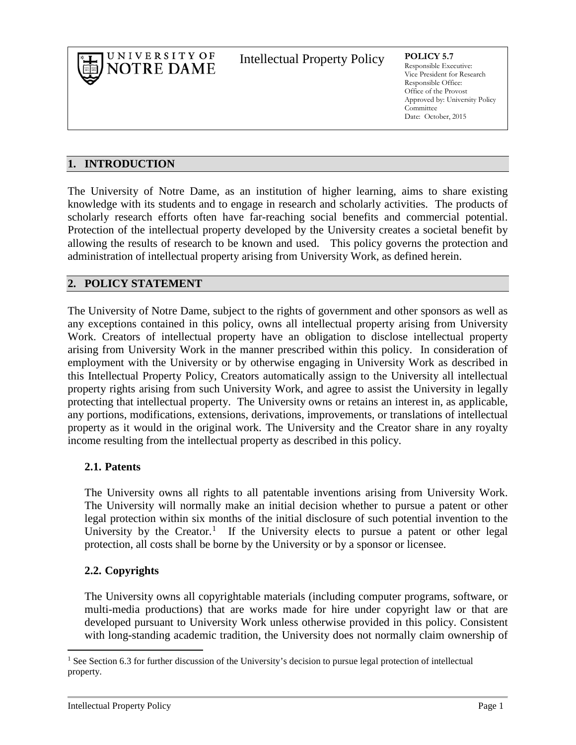

Intellectual Property Policy **POLICY 5.7**

Responsible Executive: Vice President for Research Responsible Office: Office of the Provost Approved by: University Policy Committee Date: October, 2015

### **1. INTRODUCTION**

The University of Notre Dame, as an institution of higher learning, aims to share existing knowledge with its students and to engage in research and scholarly activities. The products of scholarly research efforts often have far-reaching social benefits and commercial potential. Protection of the intellectual property developed by the University creates a societal benefit by allowing the results of research to be known and used. This policy governs the protection and administration of intellectual property arising from University Work, as defined herein.

### **2. POLICY STATEMENT**

The University of Notre Dame, subject to the rights of government and other sponsors as well as any exceptions contained in this policy, owns all intellectual property arising from University Work. Creators of intellectual property have an obligation to disclose intellectual property arising from University Work in the manner prescribed within this policy. In consideration of employment with the University or by otherwise engaging in University Work as described in this Intellectual Property Policy, Creators automatically assign to the University all intellectual property rights arising from such University Work, and agree to assist the University in legally protecting that intellectual property. The University owns or retains an interest in, as applicable, any portions, modifications, extensions, derivations, improvements, or translations of intellectual property as it would in the original work. The University and the Creator share in any royalty income resulting from the intellectual property as described in this policy.

### **2.1. Patents**

The University owns all rights to all patentable inventions arising from University Work. The University will normally make an initial decision whether to pursue a patent or other legal protection within six months of the initial disclosure of such potential invention to the University by the Creator.<sup>[1](#page-0-0)</sup> If the University elects to pursue a patent or other legal protection, all costs shall be borne by the University or by a sponsor or licensee.

## **2.2. Copyrights**

The University owns all copyrightable materials (including computer programs, software, or multi-media productions) that are works made for hire under copyright law or that are developed pursuant to University Work unless otherwise provided in this policy. Consistent with long-standing academic tradition, the University does not normally claim ownership of

<span id="page-0-0"></span> $<sup>1</sup>$  See Section 6.3 for further discussion of the University's decision to pursue legal protection of intellectual</sup> property.  $\overline{a}$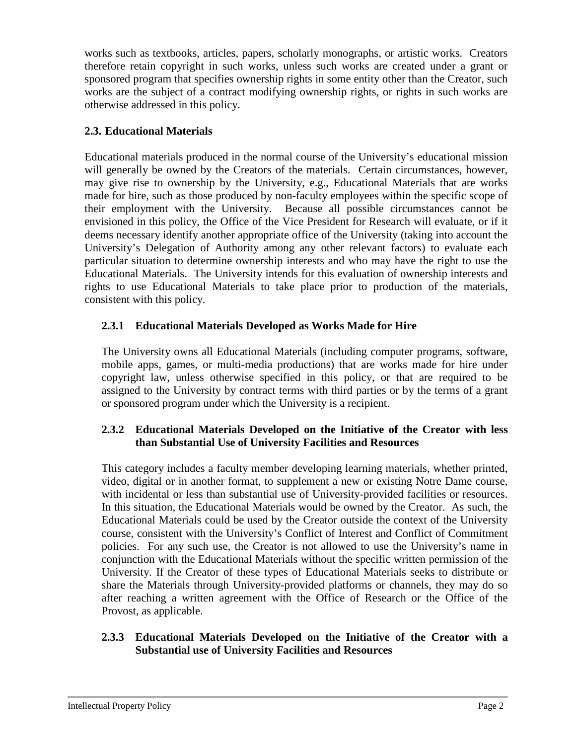works such as textbooks, articles, papers, scholarly monographs, or artistic works. Creators therefore retain copyright in such works, unless such works are created under a grant or sponsored program that specifies ownership rights in some entity other than the Creator, such works are the subject of a contract modifying ownership rights, or rights in such works are otherwise addressed in this policy.

### **2.3. Educational Materials**

Educational materials produced in the normal course of the University's educational mission will generally be owned by the Creators of the materials. Certain circumstances, however, may give rise to ownership by the University, e.g., Educational Materials that are works made for hire, such as those produced by non-faculty employees within the specific scope of their employment with the University. Because all possible circumstances cannot be envisioned in this policy, the Office of the Vice President for Research will evaluate, or if it deems necessary identify another appropriate office of the University (taking into account the University's Delegation of Authority among any other relevant factors) to evaluate each particular situation to determine ownership interests and who may have the right to use the Educational Materials. The University intends for this evaluation of ownership interests and rights to use Educational Materials to take place prior to production of the materials, consistent with this policy.

## **2.3.1 Educational Materials Developed as Works Made for Hire**

The University owns all Educational Materials (including computer programs, software, mobile apps, games, or multi-media productions) that are works made for hire under copyright law, unless otherwise specified in this policy, or that are required to be assigned to the University by contract terms with third parties or by the terms of a grant or sponsored program under which the University is a recipient.

### **2.3.2 Educational Materials Developed on the Initiative of the Creator with less than Substantial Use of University Facilities and Resources**

This category includes a faculty member developing learning materials, whether printed, video, digital or in another format, to supplement a new or existing Notre Dame course, with incidental or less than substantial use of University-provided facilities or resources. In this situation, the Educational Materials would be owned by the Creator. As such, the Educational Materials could be used by the Creator outside the context of the University course, consistent with the University's Conflict of Interest and Conflict of Commitment policies. For any such use, the Creator is not allowed to use the University's name in conjunction with the Educational Materials without the specific written permission of the University. If the Creator of these types of Educational Materials seeks to distribute or share the Materials through University-provided platforms or channels, they may do so after reaching a written agreement with the Office of Research or the Office of the Provost, as applicable.

#### **2.3.3 Educational Materials Developed on the Initiative of the Creator with a Substantial use of University Facilities and Resources**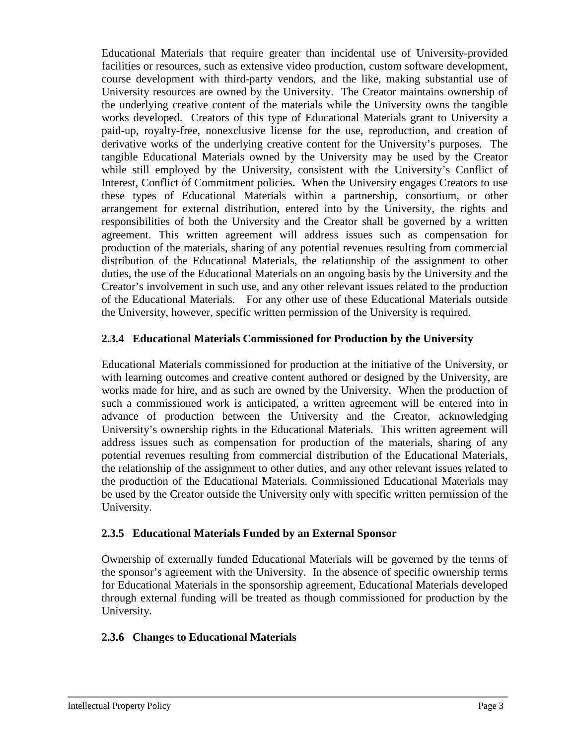Educational Materials that require greater than incidental use of University-provided facilities or resources, such as extensive video production, custom software development, course development with third-party vendors, and the like, making substantial use of University resources are owned by the University. The Creator maintains ownership of the underlying creative content of the materials while the University owns the tangible works developed. Creators of this type of Educational Materials grant to University a paid-up, royalty-free, nonexclusive license for the use, reproduction, and creation of derivative works of the underlying creative content for the University's purposes. The tangible Educational Materials owned by the University may be used by the Creator while still employed by the University, consistent with the University's Conflict of Interest, Conflict of Commitment policies. When the University engages Creators to use these types of Educational Materials within a partnership, consortium, or other arrangement for external distribution, entered into by the University, the rights and responsibilities of both the University and the Creator shall be governed by a written agreement. This written agreement will address issues such as compensation for production of the materials, sharing of any potential revenues resulting from commercial distribution of the Educational Materials, the relationship of the assignment to other duties, the use of the Educational Materials on an ongoing basis by the University and the Creator's involvement in such use, and any other relevant issues related to the production of the Educational Materials. For any other use of these Educational Materials outside the University, however, specific written permission of the University is required.

### **2.3.4 Educational Materials Commissioned for Production by the University**

Educational Materials commissioned for production at the initiative of the University, or with learning outcomes and creative content authored or designed by the University, are works made for hire, and as such are owned by the University. When the production of such a commissioned work is anticipated, a written agreement will be entered into in advance of production between the University and the Creator, acknowledging University's ownership rights in the Educational Materials. This written agreement will address issues such as compensation for production of the materials, sharing of any potential revenues resulting from commercial distribution of the Educational Materials, the relationship of the assignment to other duties, and any other relevant issues related to the production of the Educational Materials. Commissioned Educational Materials may be used by the Creator outside the University only with specific written permission of the University.

### **2.3.5 Educational Materials Funded by an External Sponsor**

Ownership of externally funded Educational Materials will be governed by the terms of the sponsor's agreement with the University. In the absence of specific ownership terms for Educational Materials in the sponsorship agreement, Educational Materials developed through external funding will be treated as though commissioned for production by the University.

### **2.3.6 Changes to Educational Materials**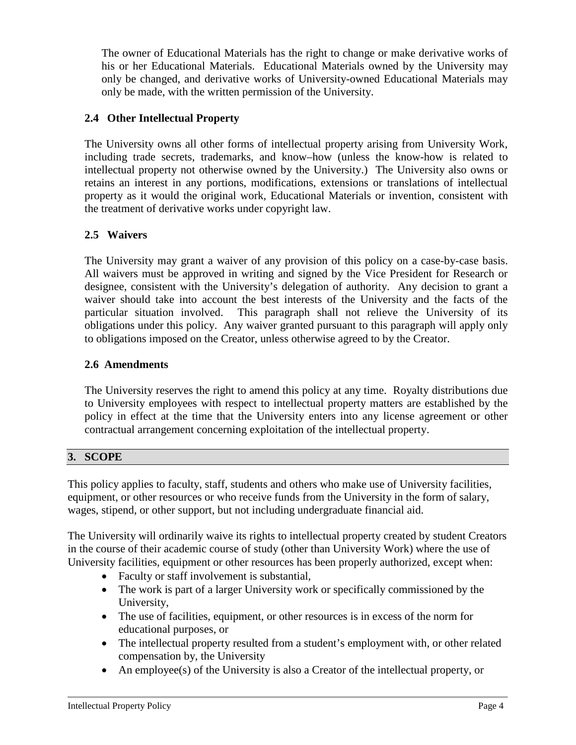The owner of Educational Materials has the right to change or make derivative works of his or her Educational Materials. Educational Materials owned by the University may only be changed, and derivative works of University-owned Educational Materials may only be made, with the written permission of the University.

## **2.4 Other Intellectual Property**

The University owns all other forms of intellectual property arising from University Work, including trade secrets, trademarks, and know–how (unless the know-how is related to intellectual property not otherwise owned by the University.) The University also owns or retains an interest in any portions, modifications, extensions or translations of intellectual property as it would the original work, Educational Materials or invention, consistent with the treatment of derivative works under copyright law.

## **2.5 Waivers**

The University may grant a waiver of any provision of this policy on a case-by-case basis. All waivers must be approved in writing and signed by the Vice President for Research or designee, consistent with the University's delegation of authority. Any decision to grant a waiver should take into account the best interests of the University and the facts of the particular situation involved. This paragraph shall not relieve the University of its obligations under this policy. Any waiver granted pursuant to this paragraph will apply only to obligations imposed on the Creator, unless otherwise agreed to by the Creator.

## **2.6 Amendments**

The University reserves the right to amend this policy at any time. Royalty distributions due to University employees with respect to intellectual property matters are established by the policy in effect at the time that the University enters into any license agreement or other contractual arrangement concerning exploitation of the intellectual property.

## **3. SCOPE**

This policy applies to faculty, staff, students and others who make use of University facilities, equipment, or other resources or who receive funds from the University in the form of salary, wages, stipend, or other support, but not including undergraduate financial aid.

The University will ordinarily waive its rights to intellectual property created by student Creators in the course of their academic course of study (other than University Work) where the use of University facilities, equipment or other resources has been properly authorized, except when:

- Faculty or staff involvement is substantial,
- The work is part of a larger University work or specifically commissioned by the University,
- The use of facilities, equipment, or other resources is in excess of the norm for educational purposes, or
- The intellectual property resulted from a student's employment with, or other related compensation by, the University
- An employee(s) of the University is also a Creator of the intellectual property, or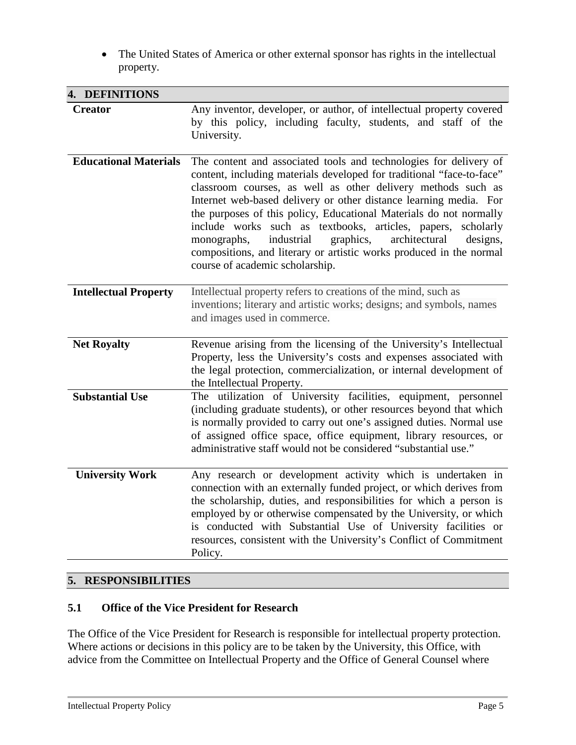• The United States of America or other external sponsor has rights in the intellectual property.

| 4. DEFINITIONS               |                                                                                                                                                                                                                                                                                                                                                                                                                                                                                                                                                                                                        |
|------------------------------|--------------------------------------------------------------------------------------------------------------------------------------------------------------------------------------------------------------------------------------------------------------------------------------------------------------------------------------------------------------------------------------------------------------------------------------------------------------------------------------------------------------------------------------------------------------------------------------------------------|
| <b>Creator</b>               | Any inventor, developer, or author, of intellectual property covered<br>by this policy, including faculty, students, and staff of the<br>University.                                                                                                                                                                                                                                                                                                                                                                                                                                                   |
| <b>Educational Materials</b> | The content and associated tools and technologies for delivery of<br>content, including materials developed for traditional "face-to-face"<br>classroom courses, as well as other delivery methods such as<br>Internet web-based delivery or other distance learning media. For<br>the purposes of this policy, Educational Materials do not normally<br>include works such as textbooks, articles, papers, scholarly<br>graphics,<br>architectural<br>industrial<br>monographs,<br>designs,<br>compositions, and literary or artistic works produced in the normal<br>course of academic scholarship. |
| <b>Intellectual Property</b> | Intellectual property refers to creations of the mind, such as<br>inventions; literary and artistic works; designs; and symbols, names<br>and images used in commerce.                                                                                                                                                                                                                                                                                                                                                                                                                                 |
| <b>Net Royalty</b>           | Revenue arising from the licensing of the University's Intellectual<br>Property, less the University's costs and expenses associated with<br>the legal protection, commercialization, or internal development of<br>the Intellectual Property.                                                                                                                                                                                                                                                                                                                                                         |
| <b>Substantial Use</b>       | The utilization of University facilities, equipment, personnel<br>(including graduate students), or other resources beyond that which<br>is normally provided to carry out one's assigned duties. Normal use<br>of assigned office space, office equipment, library resources, or<br>administrative staff would not be considered "substantial use."                                                                                                                                                                                                                                                   |
| <b>University Work</b>       | Any research or development activity which is undertaken in<br>connection with an externally funded project, or which derives from<br>the scholarship, duties, and responsibilities for which a person is<br>employed by or otherwise compensated by the University, or which<br>is conducted with Substantial Use of University facilities or<br>resources, consistent with the University's Conflict of Commitment<br>Policy.                                                                                                                                                                        |

# **5. RESPONSIBILITIES**

### **5.1 Office of the Vice President for Research**

The Office of the Vice President for Research is responsible for intellectual property protection. Where actions or decisions in this policy are to be taken by the University, this Office, with advice from the Committee on Intellectual Property and the Office of General Counsel where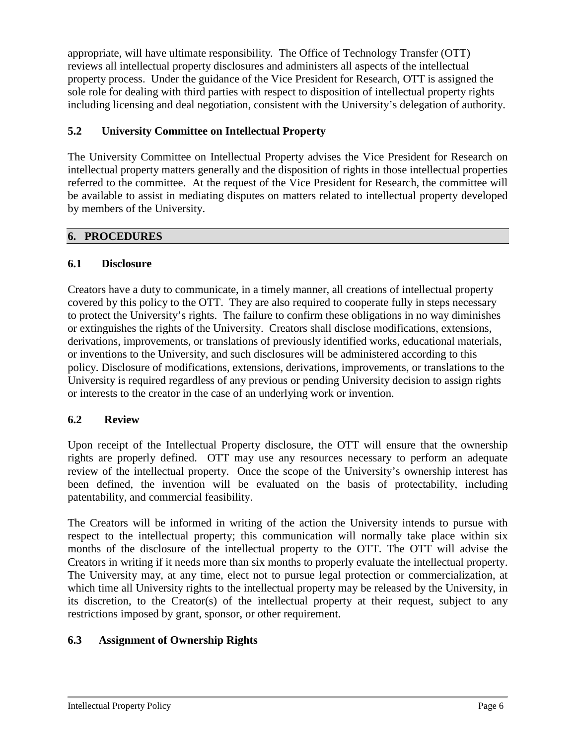appropriate, will have ultimate responsibility*.* The Office of Technology Transfer (OTT) reviews all intellectual property disclosures and administers all aspects of the intellectual property process. Under the guidance of the Vice President for Research, OTT is assigned the sole role for dealing with third parties with respect to disposition of intellectual property rights including licensing and deal negotiation, consistent with the University's delegation of authority.

### **5.2 University Committee on Intellectual Property**

The University Committee on Intellectual Property advises the Vice President for Research on intellectual property matters generally and the disposition of rights in those intellectual properties referred to the committee. At the request of the Vice President for Research, the committee will be available to assist in mediating disputes on matters related to intellectual property developed by members of the University.

### **6. PROCEDURES**

### **6.1 Disclosure**

Creators have a duty to communicate, in a timely manner, all creations of intellectual property covered by this policy to the OTT. They are also required to cooperate fully in steps necessary to protect the University's rights. The failure to confirm these obligations in no way diminishes or extinguishes the rights of the University. Creators shall disclose modifications, extensions, derivations, improvements, or translations of previously identified works, educational materials, or inventions to the University, and such disclosures will be administered according to this policy. Disclosure of modifications, extensions, derivations, improvements, or translations to the University is required regardless of any previous or pending University decision to assign rights or interests to the creator in the case of an underlying work or invention.

### **6.2 Review**

Upon receipt of the Intellectual Property disclosure, the OTT will ensure that the ownership rights are properly defined. OTT may use any resources necessary to perform an adequate review of the intellectual property. Once the scope of the University's ownership interest has been defined, the invention will be evaluated on the basis of protectability, including patentability, and commercial feasibility.

The Creators will be informed in writing of the action the University intends to pursue with respect to the intellectual property; this communication will normally take place within six months of the disclosure of the intellectual property to the OTT. The OTT will advise the Creators in writing if it needs more than six months to properly evaluate the intellectual property. The University may, at any time, elect not to pursue legal protection or commercialization, at which time all University rights to the intellectual property may be released by the University, in its discretion, to the Creator(s) of the intellectual property at their request, subject to any restrictions imposed by grant, sponsor, or other requirement.

## **6.3 Assignment of Ownership Rights**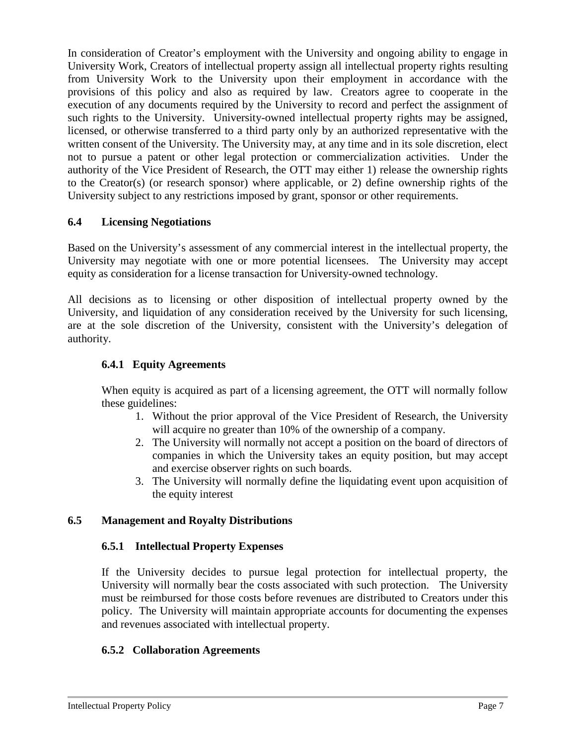In consideration of Creator's employment with the University and ongoing ability to engage in University Work, Creators of intellectual property assign all intellectual property rights resulting from University Work to the University upon their employment in accordance with the provisions of this policy and also as required by law. Creators agree to cooperate in the execution of any documents required by the University to record and perfect the assignment of such rights to the University. University-owned intellectual property rights may be assigned, licensed, or otherwise transferred to a third party only by an authorized representative with the written consent of the University. The University may, at any time and in its sole discretion, elect not to pursue a patent or other legal protection or commercialization activities. Under the authority of the Vice President of Research, the OTT may either 1) release the ownership rights to the Creator(s) (or research sponsor) where applicable, or 2) define ownership rights of the University subject to any restrictions imposed by grant, sponsor or other requirements.

### **6.4 Licensing Negotiations**

Based on the University's assessment of any commercial interest in the intellectual property, the University may negotiate with one or more potential licensees. The University may accept equity as consideration for a license transaction for University-owned technology.

All decisions as to licensing or other disposition of intellectual property owned by the University, and liquidation of any consideration received by the University for such licensing, are at the sole discretion of the University, consistent with the University's delegation of authority.

### **6.4.1 Equity Agreements**

When equity is acquired as part of a licensing agreement, the OTT will normally follow these guidelines:

- 1. Without the prior approval of the Vice President of Research, the University will acquire no greater than 10% of the ownership of a company.
- 2. The University will normally not accept a position on the board of directors of companies in which the University takes an equity position, but may accept and exercise observer rights on such boards.
- 3. The University will normally define the liquidating event upon acquisition of the equity interest

### **6.5 Management and Royalty Distributions**

### **6.5.1 Intellectual Property Expenses**

If the University decides to pursue legal protection for intellectual property, the University will normally bear the costs associated with such protection. The University must be reimbursed for those costs before revenues are distributed to Creators under this policy. The University will maintain appropriate accounts for documenting the expenses and revenues associated with intellectual property.

### **6.5.2 Collaboration Agreements**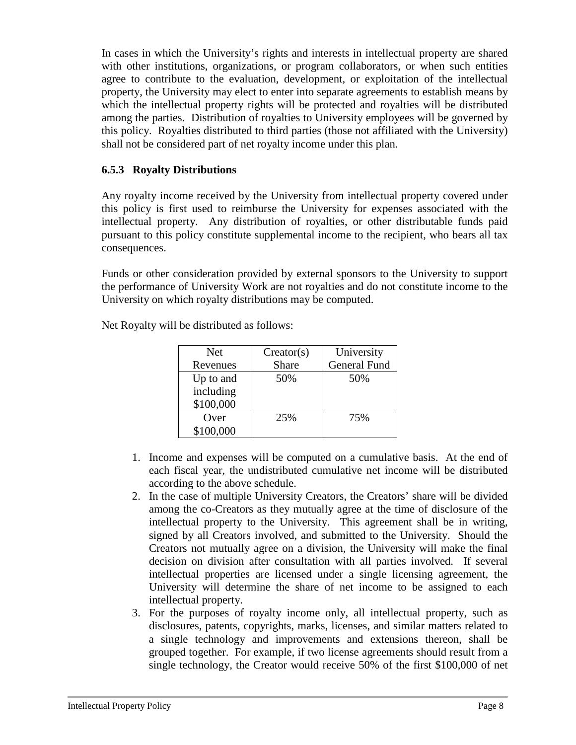In cases in which the University's rights and interests in intellectual property are shared with other institutions, organizations, or program collaborators, or when such entities agree to contribute to the evaluation, development, or exploitation of the intellectual property, the University may elect to enter into separate agreements to establish means by which the intellectual property rights will be protected and royalties will be distributed among the parties. Distribution of royalties to University employees will be governed by this policy. Royalties distributed to third parties (those not affiliated with the University) shall not be considered part of net royalty income under this plan.

### **6.5.3 Royalty Distributions**

Any royalty income received by the University from intellectual property covered under this policy is first used to reimburse the University for expenses associated with the intellectual property. Any distribution of royalties, or other distributable funds paid pursuant to this policy constitute supplemental income to the recipient, who bears all tax consequences.

Funds or other consideration provided by external sponsors to the University to support the performance of University Work are not royalties and do not constitute income to the University on which royalty distributions may be computed.

| <b>Net</b> | Creator(s) | University          |
|------------|------------|---------------------|
| Revenues   | Share      | <b>General Fund</b> |
| Up to and  | 50%        | 50%                 |
| including  |            |                     |
| \$100,000  |            |                     |
| Over       | 25%        | 75%                 |
| \$100,000  |            |                     |

Net Royalty will be distributed as follows:

- 1. Income and expenses will be computed on a cumulative basis. At the end of each fiscal year, the undistributed cumulative net income will be distributed according to the above schedule.
- 2. In the case of multiple University Creators, the Creators' share will be divided among the co-Creators as they mutually agree at the time of disclosure of the intellectual property to the University. This agreement shall be in writing, signed by all Creators involved, and submitted to the University. Should the Creators not mutually agree on a division, the University will make the final decision on division after consultation with all parties involved. If several intellectual properties are licensed under a single licensing agreement, the University will determine the share of net income to be assigned to each intellectual property.
- 3. For the purposes of royalty income only, all intellectual property, such as disclosures, patents, copyrights, marks, licenses, and similar matters related to a single technology and improvements and extensions thereon, shall be grouped together. For example, if two license agreements should result from a single technology, the Creator would receive 50% of the first \$100,000 of net